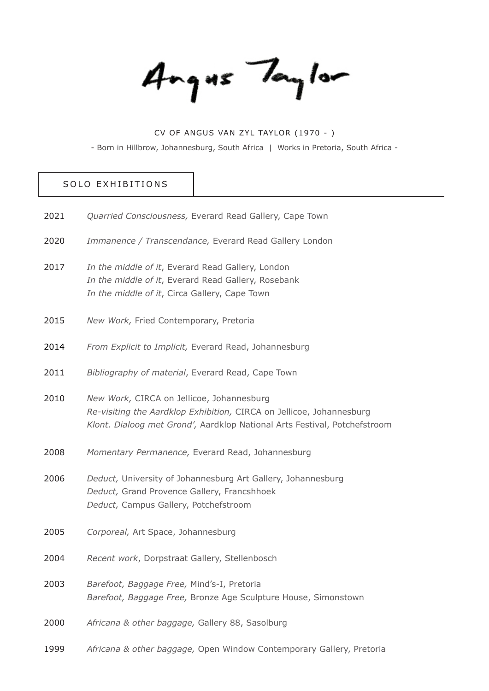Angus Taylor

# CV OF ANGUS VAN ZYL TAYLOR (1970 - ) - Born in Hillbrow, Johannesburg, South Africa | Works in Pretoria, South Africa -

#### SOLO EXHIBITIONS

| 2021 | Quarried Consciousness, Everard Read Gallery, Cape Town                                                                                                                                        |
|------|------------------------------------------------------------------------------------------------------------------------------------------------------------------------------------------------|
| 2020 | Immanence / Transcendance, Everard Read Gallery London                                                                                                                                         |
| 2017 | In the middle of it, Everard Read Gallery, London<br>In the middle of it, Everard Read Gallery, Rosebank<br>In the middle of it, Circa Gallery, Cape Town                                      |
| 2015 | New Work, Fried Contemporary, Pretoria                                                                                                                                                         |
| 2014 | From Explicit to Implicit, Everard Read, Johannesburg                                                                                                                                          |
| 2011 | Bibliography of material, Everard Read, Cape Town                                                                                                                                              |
| 2010 | New Work, CIRCA on Jellicoe, Johannesburg<br>Re-visiting the Aardklop Exhibition, CIRCA on Jellicoe, Johannesburg<br>Klont. Dialoog met Grond', Aardklop National Arts Festival, Potchefstroom |
| 2008 | Momentary Permanence, Everard Read, Johannesburg                                                                                                                                               |
| 2006 | Deduct, University of Johannesburg Art Gallery, Johannesburg<br>Deduct, Grand Provence Gallery, Francshhoek<br>Deduct, Campus Gallery, Potchefstroom                                           |
| 2005 | Corporeal, Art Space, Johannesburg                                                                                                                                                             |
| 2004 | Recent work, Dorpstraat Gallery, Stellenbosch                                                                                                                                                  |
| 2003 | Barefoot, Baggage Free, Mind's-I, Pretoria<br>Barefoot, Baggage Free, Bronze Age Sculpture House, Simonstown                                                                                   |
| 2000 | Africana & other baggage, Gallery 88, Sasolburg                                                                                                                                                |
| 1999 | Africana & other baggage, Open Window Contemporary Gallery, Pretoria                                                                                                                           |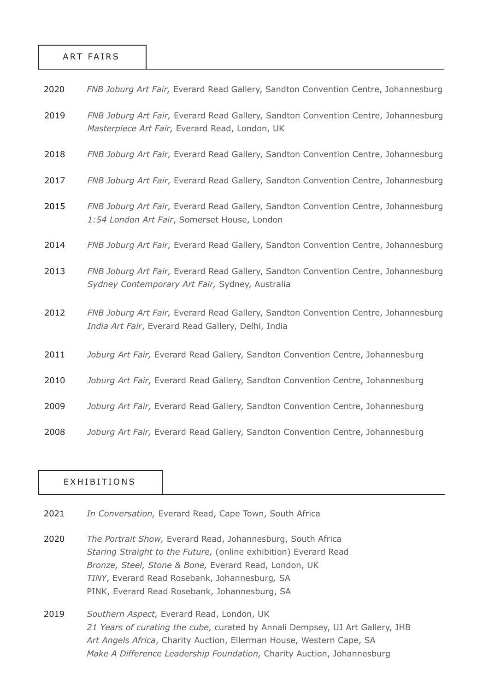#### ART FAIRS

| 2020<br>FNB Joburg Art Fair, Everard Read Gallery, Sandton Convention Centre, Johannesburg |
|--------------------------------------------------------------------------------------------|
|--------------------------------------------------------------------------------------------|

- *FNB Joburg Art Fair,* Everard Read Gallery, Sandton Convention Centre, Johannesburg *Masterpiece Art Fair,* Everard Read, London, UK 2019
- *FNB Joburg Art Fair,* Everard Read Gallery, Sandton Convention Centre, Johannesburg 2018
- *FNB Joburg Art Fair,* Everard Read Gallery, Sandton Convention Centre, Johannesburg 2017
- *FNB Joburg Art Fair,* Everard Read Gallery, Sandton Convention Centre, Johannesburg *1:54 London Art Fair*, Somerset House, London 2015
- *FNB Joburg Art Fair,* Everard Read Gallery, Sandton Convention Centre, Johannesburg 2014
- *FNB Joburg Art Fair,* Everard Read Gallery, Sandton Convention Centre, Johannesburg *Sydney Contemporary Art Fair,* Sydney, Australia 2013
- *FNB Joburg Art Fair,* Everard Read Gallery, Sandton Convention Centre, Johannesburg *India Art Fair*, Everard Read Gallery, Delhi, India 2012
- *Joburg Art Fair,* Everard Read Gallery, Sandton Convention Centre, Johannesburg 2011
- *Joburg Art Fair,* Everard Read Gallery, Sandton Convention Centre, Johannesburg 2010
- *Joburg Art Fair,* Everard Read Gallery, Sandton Convention Centre, Johannesburg 2009
- *Joburg Art Fair,* Everard Read Gallery, Sandton Convention Centre, Johannesburg 2008

#### EXHIBITIONS

- *In Conversation,* Everard Read, Cape Town, South Africa 2021
- *The Portrait Show,* Everard Read, Johannesburg, South Africa *Staring Straight to the Future,* (online exhibition) Everard Read *Bronze, Steel, Stone & Bone,* Everard Read, London, UK *TINY*, Everard Read Rosebank, Johannesburg*,* SA PINK, Everard Read Rosebank, Johannesburg, SA 2020
- *Southern Aspect,* Everard Read, London, UK *21 Years of curating the cube,* curated by Annali Dempsey, UJ Art Gallery, JHB *Art Angels Africa*, Charity Auction, Ellerman House, Western Cape, SA *Make A Difference Leadership Foundation,* Charity Auction, Johannesburg 2019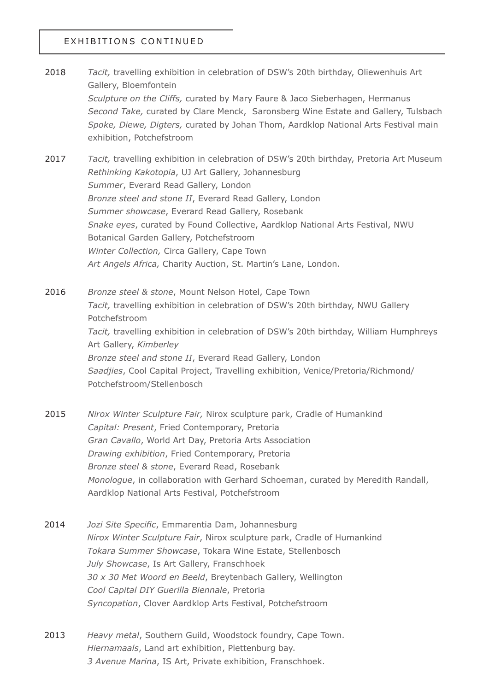## EXHIBITIONS CONTINUED

- *Tacit,* travelling exhibition in celebration of DSW's 20th birthday, Oliewenhuis Art Gallery, Bloemfontein *Sculpture on the Cliffs,* curated by Mary Faure & Jaco Sieberhagen, Hermanus *Second Take,* curated by Clare Menck, Saronsberg Wine Estate and Gallery, Tulsbach *Spoke, Diewe, Digters,* curated by Johan Thom, Aardklop National Arts Festival main exhibition, Potchefstroom 2018
- *Tacit,* travelling exhibition in celebration of DSW's 20th birthday, Pretoria Art Museum *Rethinking Kakotopia*, UJ Art Gallery, Johannesburg *Summer*, Everard Read Gallery, London *Bronze steel and stone II*, Everard Read Gallery, London *Summer showcase*, Everard Read Gallery, Rosebank *Snake eyes*, curated by Found Collective, Aardklop National Arts Festival, NWU Botanical Garden Gallery, Potchefstroom *Winter Collection,* Circa Gallery, Cape Town *Art Angels Africa,* Charity Auction, St. Martin's Lane, London. 2017

*Bronze steel & stone*, Mount Nelson Hotel, Cape Town *Tacit,* travelling exhibition in celebration of DSW's 20th birthday, NWU Gallery Potchefstroom *Tacit,* travelling exhibition in celebration of DSW's 20th birthday, William Humphreys Art Gallery, *Kimberley Bronze steel and stone II*, Everard Read Gallery, London *Saadjies*, Cool Capital Project, Travelling exhibition, Venice/Pretoria/Richmond/ Potchefstroom/Stellenbosch 2016

- *Nirox Winter Sculpture Fair,* Nirox sculpture park, Cradle of Humankind *Capital: Present*, Fried Contemporary, Pretoria *Gran Cavallo*, World Art Day, Pretoria Arts Association *Drawing exhibition*, Fried Contemporary, Pretoria *Bronze steel & stone*, Everard Read, Rosebank *Monologue*, in collaboration with Gerhard Schoeman, curated by Meredith Randall, Aardklop National Arts Festival, Potchefstroom 2015
- *Jozi Site Specific*, Emmarentia Dam, Johannesburg *Nirox Winter Sculpture Fair*, Nirox sculpture park, Cradle of Humankind *Tokara Summer Showcase*, Tokara Wine Estate, Stellenbosch *July Showcase*, Is Art Gallery, Franschhoek *30 x 30 Met Woord en Beeld*, Breytenbach Gallery, Wellington *Cool Capital DIY Guerilla Biennale*, Pretoria *Syncopation*, Clover Aardklop Arts Festival, Potchefstroom 2014
- *Heavy metal*, Southern Guild, Woodstock foundry, Cape Town. *Hiernamaals*, Land art exhibition, Plettenburg bay. *3 Avenue Marina*, IS Art, Private exhibition, Franschhoek. 2013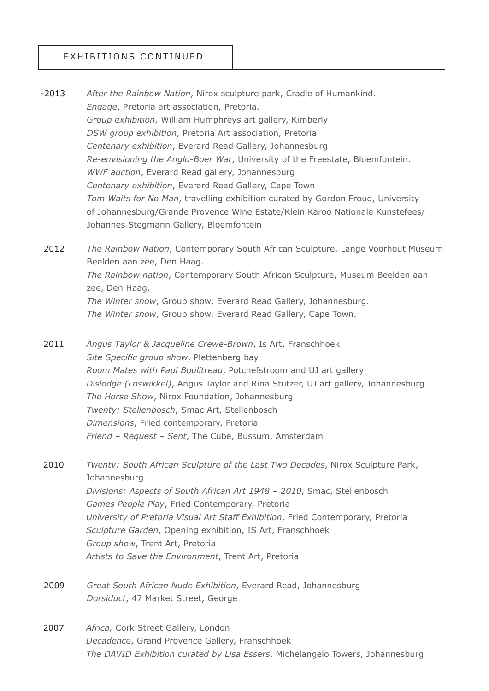### EXHIBITIONS CONTINUED

*After the Rainbow Nation*, Nirox sculpture park, Cradle of Humankind. *Engage*, Pretoria art association, Pretoria. *Group exhibition*, William Humphreys art gallery, Kimberly *DSW group exhibition*, Pretoria Art association, Pretoria *Centenary exhibition*, Everard Read Gallery, Johannesburg *Re-envisioning the Anglo-Boer War*, University of the Freestate, Bloemfontein. *WWF auction*, Everard Read gallery, Johannesburg *Centenary exhibition*, Everard Read Gallery, Cape Town *Tom Waits for No Man*, travelling exhibition curated by Gordon Froud, University of Johannesburg/Grande Provence Wine Estate/Klein Karoo Nationale Kunstefees/ Johannes Stegmann Gallery, Bloemfontein -2013

*The Rainbow Nation*, Contemporary South African Sculpture, Lange Voorhout Museum Beelden aan zee, Den Haag. *The Rainbow nation*, Contemporary South African Sculpture, Museum Beelden aan zee, Den Haag. *The Winter show*, Group show, Everard Read Gallery, Johannesburg. *The Winter show*, Group show, Everard Read Gallery, Cape Town. 2012

*Angus Taylor & Jacqueline Crewe-Brown*, Is Art, Franschhoek *Site Specific group show*, Plettenberg bay *Room Mates with Paul Boulitreau*, Potchefstroom and UJ art gallery *Dislodge (Loswikkel)*, Angus Taylor and Rina Stutzer, UJ art gallery, Johannesburg *The Horse Show*, Nirox Foundation, Johannesburg *Twenty: Stellenbosch*, Smac Art, Stellenbosch *Dimensions*, Fried contemporary, Pretoria *Friend – Request – Sent*, The Cube, Bussum, Amsterdam 2011

*Twenty: South African Sculpture of the Last Two Decades*, Nirox Sculpture Park, Johannesburg *Divisions: Aspects of South African Art 1948 – 2010*, Smac, Stellenbosch *Games People Play*, Fried Contemporary, Pretoria *University of Pretoria Visual Art Staff Exhibition*, Fried Contemporary, Pretoria *Sculpture Garden*, Opening exhibition, IS Art, Franschhoek *Group show*, Trent Art, Pretoria *Artists to Save the Environment*, Trent Art, Pretoria 2010

- *Great South African Nude Exhibition*, Everard Read, Johannesburg *Dorsiduct*, 47 Market Street, George 2009
- *Africa,* Cork Street Gallery, London *Decadence*, Grand Provence Gallery, Franschhoek *The DAVID Exhibition curated by Lisa Essers*, Michelangelo Towers, Johannesburg 2007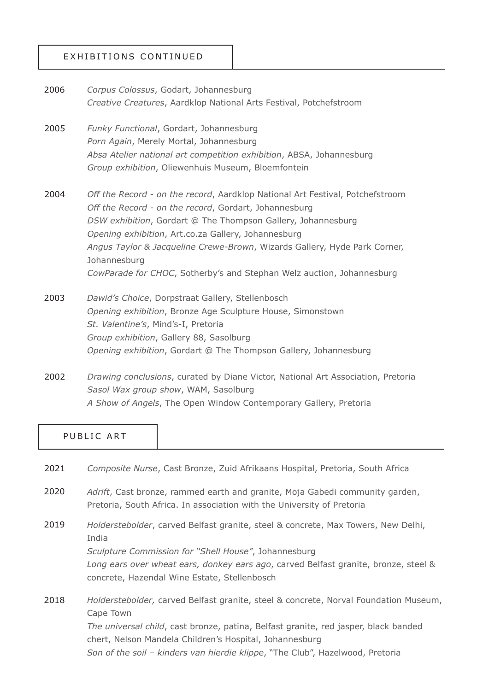## EXHIBITIONS CONTINUED

*Corpus Colossus*, Godart, Johannesburg *Creative Creatures*, Aardklop National Arts Festival, Potchefstroom 2006

*Funky Functional*, Gordart, Johannesburg *Porn Again*, Merely Mortal, Johannesburg *Absa Atelier national art competition exhibition*, ABSA, Johannesburg *Group exhibition*, Oliewenhuis Museum, Bloemfontein 2005

*Off the Record - on the record*, Aardklop National Art Festival, Potchefstroom *Off the Record - on the record*, Gordart, Johannesburg *DSW exhibition*, Gordart @ The Thompson Gallery, Johannesburg *Opening exhibition*, Art.co.za Gallery, Johannesburg *Angus Taylor & Jacqueline Crewe-Brown*, Wizards Gallery, Hyde Park Corner, Johannesburg *CowParade for CHOC*, Sotherby's and Stephan Welz auction, Johannesburg 2004

- *Dawid's Choice*, Dorpstraat Gallery, Stellenbosch *Opening exhibition*, Bronze Age Sculpture House, Simonstown *St. Valentine's*, Mind's-I, Pretoria *Group exhibition*, Gallery 88, Sasolburg *Opening exhibition*, Gordart @ The Thompson Gallery, Johannesburg 2003
- *Drawing conclusions*, curated by Diane Victor, National Art Association, Pretoria *Sasol Wax group show*, WAM, Sasolburg *A Show of Angels*, The Open Window Contemporary Gallery, Pretoria 2002

#### PUBLIC ART

- *Composite Nurse*, Cast Bronze, Zuid Afrikaans Hospital, Pretoria, South Africa 2021
- *Adrift*, Cast bronze, rammed earth and granite, Moja Gabedi community garden, Pretoria, South Africa. In association with the University of Pretoria 2020
- *Holderstebolder*, carved Belfast granite, steel & concrete, Max Towers, New Delhi, India *Sculpture Commission for "Shell House"*, Johannesburg *Long ears over wheat ears, donkey ears ago*, carved Belfast granite, bronze, steel & concrete, Hazendal Wine Estate, Stellenbosch 2019

*Holderstebolder,* carved Belfast granite, steel & concrete, Norval Foundation Museum, Cape Town *The universal child*, cast bronze, patina, Belfast granite, red jasper, black banded chert, Nelson Mandela Children's Hospital, Johannesburg *Son of the soil – kinders van hierdie klippe*, "The Club", Hazelwood, Pretoria 2018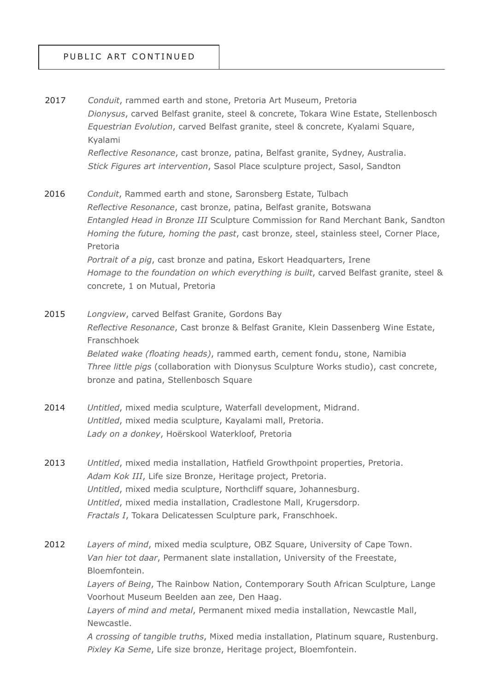- *Conduit*, rammed earth and stone, Pretoria Art Museum, Pretoria *Dionysus*, carved Belfast granite, steel & concrete, Tokara Wine Estate, Stellenbosch *Equestrian Evolution*, carved Belfast granite, steel & concrete, Kyalami Square, Kyalami *Reflective Resonance*, cast bronze, patina, Belfast granite, Sydney, Australia. *Stick Figures art intervention*, Sasol Place sculpture project, Sasol, Sandton 2017
- *Conduit*, Rammed earth and stone, Saronsberg Estate, Tulbach *Reflective Resonance*, cast bronze, patina, Belfast granite, Botswana *Entangled Head in Bronze III* Sculpture Commission for Rand Merchant Bank, Sandton *Homing the future, homing the past*, cast bronze, steel, stainless steel, Corner Place, Pretoria *Portrait of a pig*, cast bronze and patina, Eskort Headquarters, Irene *Homage to the foundation on which everything is built, carved Belfast granite, steel &* concrete, 1 on Mutual, Pretoria 2016
- *Longview*, carved Belfast Granite, Gordons Bay *Reflective Resonance*, Cast bronze & Belfast Granite, Klein Dassenberg Wine Estate, Franschhoek *Belated wake (floating heads)*, rammed earth, cement fondu, stone, Namibia *Three little pigs* (collaboration with Dionysus Sculpture Works studio), cast concrete, bronze and patina, Stellenbosch Square 2015
- *Untitled*, mixed media sculpture, Waterfall development, Midrand. *Untitled*, mixed media sculpture, Kayalami mall, Pretoria. *Lady on a donkey*, Hoërskool Waterkloof, Pretoria 2014
- *Untitled*, mixed media installation, Hatfield Growthpoint properties, Pretoria. *Adam Kok III*, Life size Bronze, Heritage project, Pretoria. *Untitled*, mixed media sculpture, Northcliff square, Johannesburg. *Untitled*, mixed media installation, Cradlestone Mall, Krugersdorp. *Fractals I*, Tokara Delicatessen Sculpture park, Franschhoek. 2013
- *Layers of mind*, mixed media sculpture, OBZ Square, University of Cape Town. *Van hier tot daar*, Permanent slate installation, University of the Freestate, Bloemfontein. 2012

*Layers of Being*, The Rainbow Nation, Contemporary South African Sculpture, Lange Voorhout Museum Beelden aan zee, Den Haag.

*Layers of mind and metal*, Permanent mixed media installation, Newcastle Mall, Newcastle.

*A crossing of tangible truths*, Mixed media installation, Platinum square, Rustenburg. *Pixley Ka Seme*, Life size bronze, Heritage project, Bloemfontein.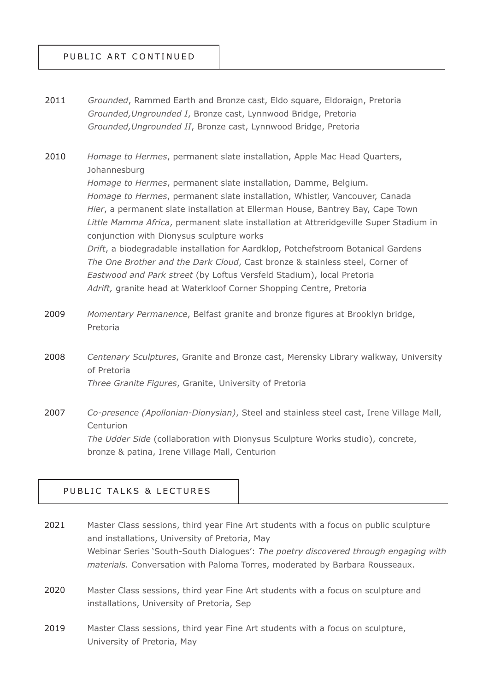### PUBLIC ART CONTINUED

*Grounded*, Rammed Earth and Bronze cast, Eldo square, Eldoraign, Pretoria *Grounded,Ungrounded I*, Bronze cast, Lynnwood Bridge, Pretoria *Grounded,Ungrounded II*, Bronze cast, Lynnwood Bridge, Pretoria 2011

*Homage to Hermes*, permanent slate installation, Apple Mac Head Quarters, Johannesburg *Homage to Hermes*, permanent slate installation, Damme, Belgium. *Homage to Hermes*, permanent slate installation, Whistler, Vancouver, Canada *Hier*, a permanent slate installation at Ellerman House, Bantrey Bay, Cape Town *Little Mamma Africa*, permanent slate installation at Attreridgeville Super Stadium in conjunction with Dionysus sculpture works *Drift*, a biodegradable installation for Aardklop, Potchefstroom Botanical Gardens *The One Brother and the Dark Cloud*, Cast bronze & stainless steel, Corner of *Eastwood and Park street* (by Loftus Versfeld Stadium), local Pretoria *Adrift,* granite head at Waterkloof Corner Shopping Centre, Pretoria 2010

*Momentary Permanence*, Belfast granite and bronze figures at Brooklyn bridge, Pretoria 2009

*Centenary Sculptures*, Granite and Bronze cast, Merensky Library walkway, University of Pretoria *Three Granite Figures*, Granite, University of Pretoria 2008

*Co-presence (Apollonian-Dionysian)*, Steel and stainless steel cast, Irene Village Mall, Centurion *The Udder Side* (collaboration with Dionysus Sculpture Works studio), concrete, bronze & patina, Irene Village Mall, Centurion 2007

#### PUBLIC TALKS & LECTURES

- Master Class sessions, third year Fine Art students with a focus on public sculpture and installations, University of Pretoria, May Webinar Series 'South-South Dialogues': *The poetry discovered through engaging with materials.* Conversation with Paloma Torres, moderated by Barbara Rousseaux. 2021
- Master Class sessions, third year Fine Art students with a focus on sculpture and installations, University of Pretoria, Sep 2020
- Master Class sessions, third year Fine Art students with a focus on sculpture, University of Pretoria, May 2019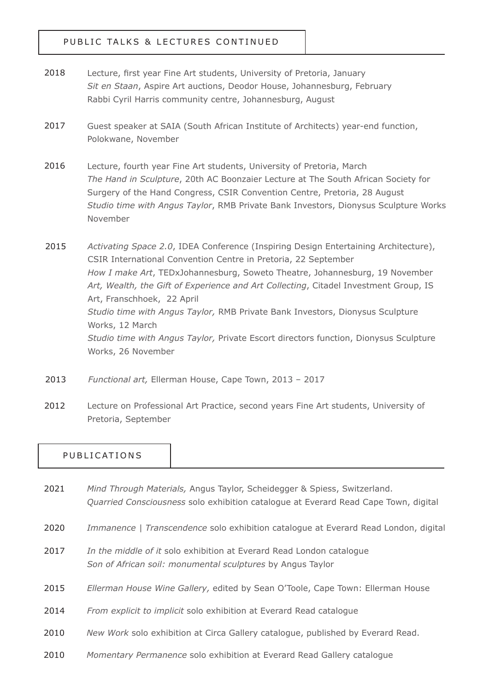## PUBLIC TALKS & LECTURES CONTINUED

- Lecture, first year Fine Art students, University of Pretoria, January *Sit en Staan*, Aspire Art auctions, Deodor House, Johannesburg, February Rabbi Cyril Harris community centre, Johannesburg, August 2018
- Guest speaker at SAIA (South African Institute of Architects) year-end function, Polokwane, November 2017
- Lecture, fourth year Fine Art students, University of Pretoria, March *The Hand in Sculpture*, 20th AC Boonzaier Lecture at The South African Society for Surgery of the Hand Congress, CSIR Convention Centre, Pretoria, 28 August *Studio time with Angus Taylor*, RMB Private Bank Investors, Dionysus Sculpture Works November 2016

*Activating Space 2.0*, IDEA Conference (Inspiring Design Entertaining Architecture), CSIR International Convention Centre in Pretoria, 22 September *How I make Art*, TEDxJohannesburg, Soweto Theatre, Johannesburg, 19 November *Art, Wealth, the Gift of Experience and Art Collecting*, Citadel Investment Group, IS Art, Franschhoek, 22 April *Studio time with Angus Taylor,* RMB Private Bank Investors, Dionysus Sculpture Works, 12 March *Studio time with Angus Taylor,* Private Escort directors function, Dionysus Sculpture Works, 26 November 2015

- *Functional art,* Ellerman House, Cape Town, 2013 2017 2013
- Lecture on Professional Art Practice, second years Fine Art students, University of Pretoria, September 2012

### PUBLICATIONS

- *Mind Through Materials,* Angus Taylor, Scheidegger & Spiess, Switzerland. *Quarried Consciousness* solo exhibition catalogue at Everard Read Cape Town, digital 2021
- *Immanence | Transcendence* solo exhibition catalogue at Everard Read London, digital 2020
- *In the middle of it* solo exhibition at Everard Read London catalogue *Son of African soil: monumental sculptures* by Angus Taylor 2017
- *Ellerman House Wine Gallery,* edited by Sean O'Toole, Cape Town: Ellerman House 2015
- *From explicit to implicit* solo exhibition at Everard Read catalogue 2014
- *New Work* solo exhibition at Circa Gallery catalogue, published by Everard Read. 2010
- *Momentary Permanence* solo exhibition at Everard Read Gallery catalogue 2010